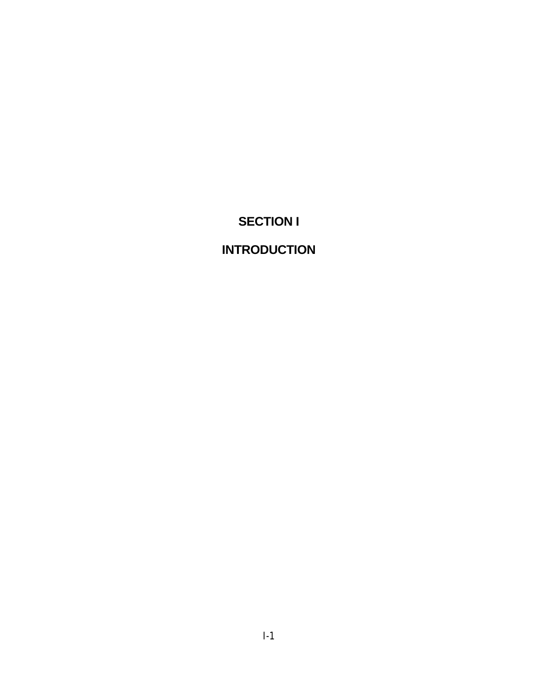# **SECTION I**

# **INTRODUCTION**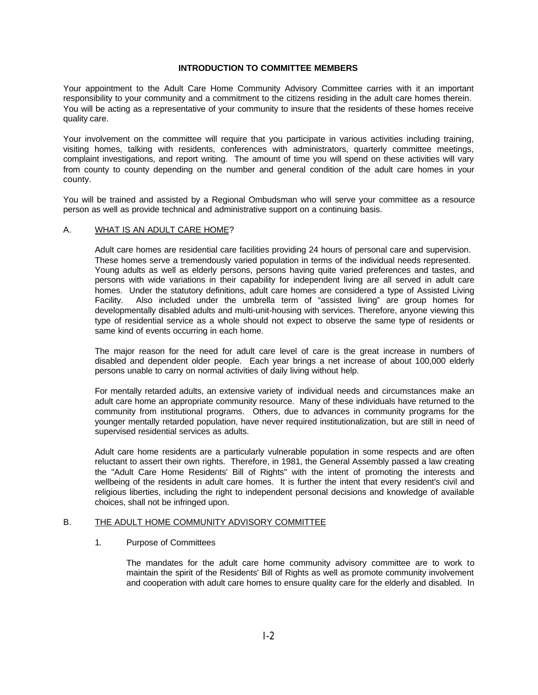## **INTRODUCTION TO COMMITTEE MEMBERS**

Your appointment to the Adult Care Home Community Advisory Committee carries with it an important responsibility to your community and a commitment to the citizens residing in the adult care homes therein. You will be acting as a representative of your community to insure that the residents of these homes receive quality care.

Your involvement on the committee will require that you participate in various activities including training, visiting homes, talking with residents, conferences with administrators, quarterly committee meetings, complaint investigations, and report writing. The amount of time you will spend on these activities will vary from county to county depending on the number and general condition of the adult care homes in your county.

You will be trained and assisted by a Regional Ombudsman who will serve your committee as a resource person as well as provide technical and administrative support on a continuing basis.

#### A. WHAT IS AN ADULT CARE HOME?

Adult care homes are residential care facilities providing 24 hours of personal care and supervision. These homes serve a tremendously varied population in terms of the individual needs represented. Young adults as well as elderly persons, persons having quite varied preferences and tastes, and persons with wide variations in their capability for independent living are all served in adult care homes. Under the statutory definitions, adult care homes are considered a type of Assisted Living Facility. Also included under the umbrella term of "assisted living" are group homes for developmentally disabled adults and multi-unit-housing with services. Therefore, anyone viewing this type of residential service as a whole should not expect to observe the same type of residents or same kind of events occurring in each home.

The major reason for the need for adult care level of care is the great increase in numbers of disabled and dependent older people. Each year brings a net increase of about 100,000 elderly persons unable to carry on normal activities of daily living without help.

For mentally retarded adults, an extensive variety of individual needs and circumstances make an adult care home an appropriate community resource. Many of these individuals have returned to the community from institutional programs. Others, due to advances in community programs for the younger mentally retarded population, have never required institutionalization, but are still in need of supervised residential services as adults.

Adult care home residents are a particularly vulnerable population in some respects and are often reluctant to assert their own rights. Therefore, in 1981, the General Assembly passed a law creating the "Adult Care Home Residents' Bill of Rights" with the intent of promoting the interests and wellbeing of the residents in adult care homes. It is further the intent that every resident's civil and religious liberties, including the right to independent personal decisions and knowledge of available choices, shall not be infringed upon.

### B. THE ADULT HOME COMMUNITY ADVISORY COMMITTEE

## 1. Purpose of Committees

The mandates for the adult care home community advisory committee are to work to maintain the spirit of the Residents' Bill of Rights as well as promote community involvement and cooperation with adult care homes to ensure quality care for the elderly and disabled. In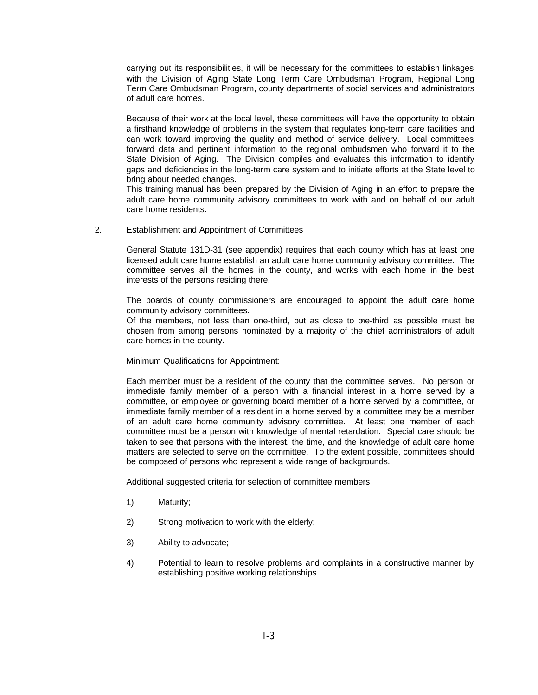carrying out its responsibilities, it will be necessary for the committees to establish linkages with the Division of Aging State Long Term Care Ombudsman Program, Regional Long Term Care Ombudsman Program, county departments of social services and administrators of adult care homes.

Because of their work at the local level, these committees will have the opportunity to obtain a firsthand knowledge of problems in the system that regulates long-term care facilities and can work toward improving the quality and method of service delivery. Local committees forward data and pertinent information to the regional ombudsmen who forward it to the State Division of Aging. The Division compiles and evaluates this information to identify gaps and deficiencies in the long-term care system and to initiate efforts at the State level to bring about needed changes.

This training manual has been prepared by the Division of Aging in an effort to prepare the adult care home community advisory committees to work with and on behalf of our adult care home residents.

2. Establishment and Appointment of Committees

General Statute 131D-31 (see appendix) requires that each county which has at least one licensed adult care home establish an adult care home community advisory committee. The committee serves all the homes in the county, and works with each home in the best interests of the persons residing there.

The boards of county commissioners are encouraged to appoint the adult care home community advisory committees.

Of the members, not less than one-third, but as close to one-third as possible must be chosen from among persons nominated by a majority of the chief administrators of adult care homes in the county.

### Minimum Qualifications for Appointment:

Each member must be a resident of the county that the committee serves. No person or immediate family member of a person with a financial interest in a home served by a committee, or employee or governing board member of a home served by a committee, or immediate family member of a resident in a home served by a committee may be a member of an adult care home community advisory committee. At least one member of each committee must be a person with knowledge of mental retardation. Special care should be taken to see that persons with the interest, the time, and the knowledge of adult care home matters are selected to serve on the committee. To the extent possible, committees should be composed of persons who represent a wide range of backgrounds.

Additional suggested criteria for selection of committee members:

- 1) Maturity;
- 2) Strong motivation to work with the elderly;
- 3) Ability to advocate;
- 4) Potential to learn to resolve problems and complaints in a constructive manner by establishing positive working relationships.